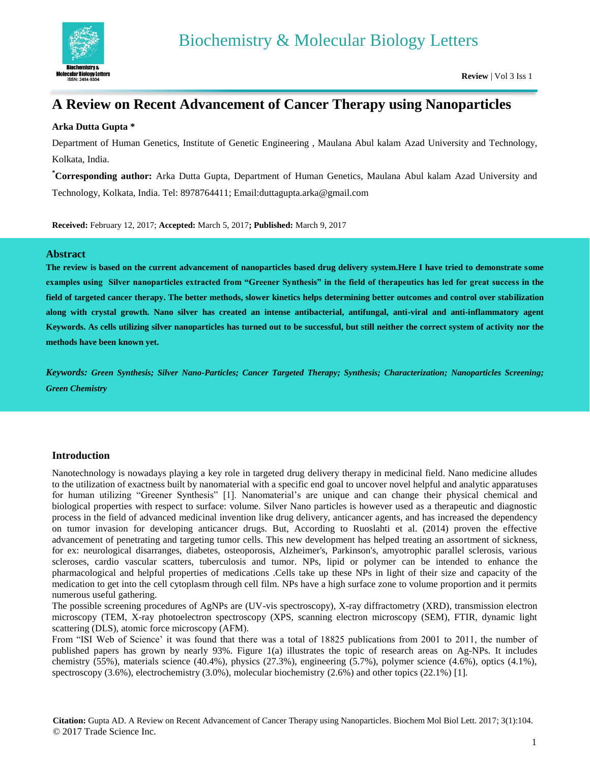

# **A Review on Recent Advancement of Cancer Therapy using Nanoparticles**

#### **Arka Dutta Gupta \***

Department of Human Genetics, Institute of Genetic Engineering , Maulana Abul kalam Azad University and Technology, Kolkata, India.

**\*Corresponding author:** Arka Dutta Gupta, Department of Human Genetics, Maulana Abul kalam Azad University and Technology, Kolkata, India. Tel: 8978764411; Email:duttagupta.arka@gmail.com

**Received:** February 12, 2017; **Accepted:** March 5, 2017**; Published:** March 9, 2017

#### **Abstract**

**The review is based on the current advancement of nanoparticles based drug delivery system.Here I have tried to demonstrate some examples using Silver nanoparticles extracted from "Greener Synthesis" in the field of therapeutics has led for great success in the field of targeted cancer therapy. The better methods, slower kinetics helps determining better outcomes and control over stabilization along with crystal growth. Nano silver has created an intense antibacterial, antifungal, anti-viral and anti-inflammatory agent Keywords. As cells utilizing silver nanoparticles has turned out to be successful, but still neither the correct system of activity nor the methods have been known yet.**

*Keywords: Green Synthesis; Silver Nano-Particles; Cancer Targeted Therapy; Synthesis; Characterization; Nanoparticles Screening; Green Chemistry*

#### **Introduction**

Nanotechnology is nowadays playing a key role in targeted drug delivery therapy in medicinal field. Nano medicine alludes to the utilization of exactness built by nanomaterial with a specific end goal to uncover novel helpful and analytic apparatuses for human utilizing "Greener Synthesis" [1]. Nanomaterial's are unique and can change their physical chemical and biological properties with respect to surface: volume. Silver Nano particles is however used as a therapeutic and diagnostic process in the field of advanced medicinal invention like drug delivery, anticancer agents, and has increased the dependency on tumor invasion for developing anticancer drugs. But, According to Ruoslahti et al. (2014) proven the effective advancement of penetrating and targeting tumor cells. This new development has helped treating an assortment of sickness, for ex: neurological disarranges, diabetes, osteoporosis, Alzheimer's, Parkinson's, amyotrophic parallel sclerosis, various scleroses, cardio vascular scatters, tuberculosis and tumor. NPs, lipid or polymer can be intended to enhance the pharmacological and helpful properties of medications .Cells take up these NPs in light of their size and capacity of the medication to get into the cell cytoplasm through cell film. NPs have a high surface zone to volume proportion and it permits numerous useful gathering.

The possible screening procedures of AgNPs are (UV-vis spectroscopy), X-ray diffractometry (XRD), transmission electron microscopy (TEM, X-ray photoelectron spectroscopy (XPS, scanning electron microscopy (SEM), FTIR, dynamic light scattering (DLS), atomic force microscopy (AFM).

From "ISI Web of Science' it was found that there was a total of 18825 publications from 2001 to 2011, the number of published papers has grown by nearly 93%. Figure 1(a) illustrates the topic of research areas on Ag-NPs. It includes chemistry (55%), materials science (40.4%), physics (27.3%), engineering (5.7%), polymer science (4.6%), optics (4.1%), spectroscopy (3.6%), electrochemistry (3.0%), molecular biochemistry (2.6%) and other topics (22.1%) [1].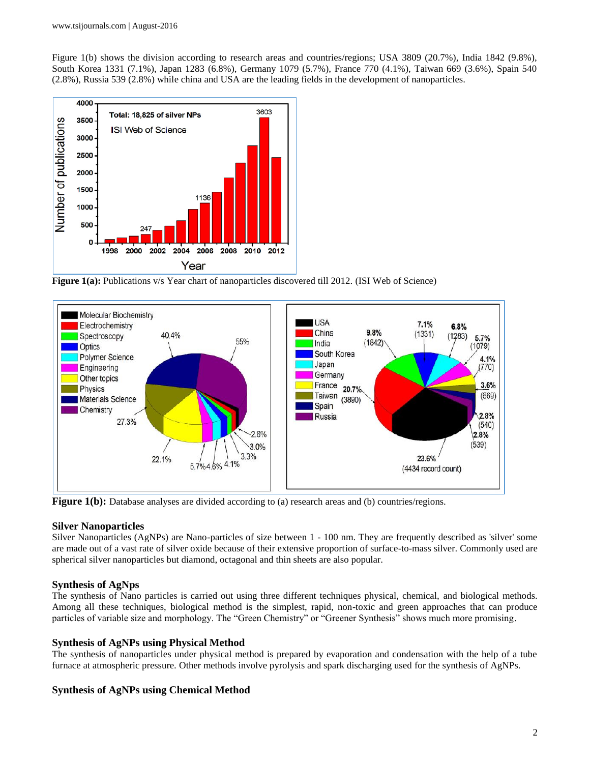Figure 1(b) shows the division according to research areas and countries/regions; USA 3809 (20.7%), India 1842 (9.8%), South Korea 1331 (7.1%), Japan 1283 (6.8%), Germany 1079 (5.7%), France 770 (4.1%), Taiwan 669 (3.6%), Spain 540 (2.8%), Russia 539 (2.8%) while china and USA are the leading fields in the development of nanoparticles.



**Figure 1(a):** Publications v/s Year chart of nanoparticles discovered till 2012. (ISI Web of Science)



**Figure 1(b):** Database analyses are divided according to (a) research areas and (b) countries/regions.

#### **Silver Nanoparticles**

Silver Nanoparticles (AgNPs) are Nano-particles of size between 1 - 100 nm. They are frequently described as 'silver' some are made out of a vast rate of silver oxide because of their extensive proportion of surface-to-mass silver. Commonly used are spherical silver nanoparticles but diamond, octagonal and thin sheets are also popular.

# **Synthesis of AgNps**

The synthesis of Nano particles is carried out using three different techniques physical, chemical, and biological methods. Among all these techniques, biological method is the simplest, rapid, non-toxic and green approaches that can produce particles of variable size and morphology. The "Green Chemistry" or "Greener Synthesis" shows much more promising.

# **Synthesis of AgNPs using Physical Method**

The synthesis of nanoparticles under physical method is prepared by evaporation and condensation with the help of a tube furnace at atmospheric pressure. Other methods involve pyrolysis and spark discharging used for the synthesis of AgNPs.

# **Synthesis of AgNPs using Chemical Method**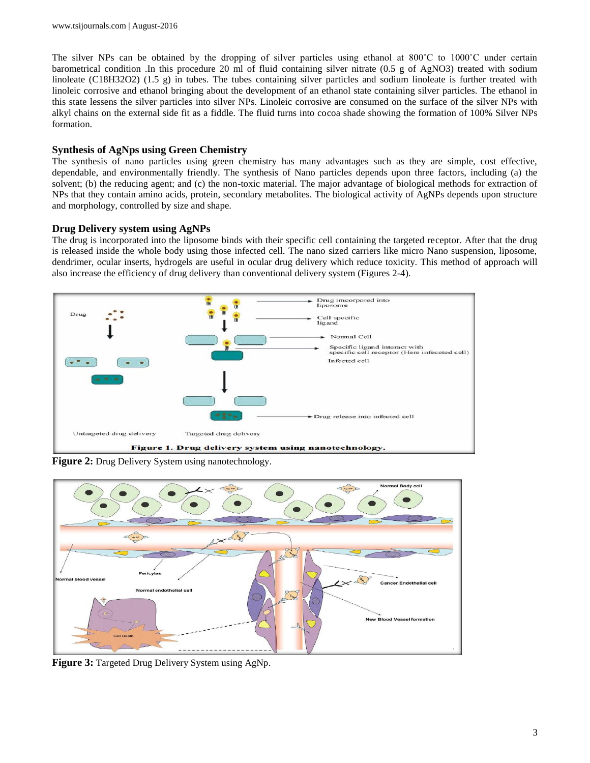The silver NPs can be obtained by the dropping of silver particles using ethanol at 800°C to 1000°C under certain barometrical condition .In this procedure 20 ml of fluid containing silver nitrate (0.5 g of AgNO3) treated with sodium linoleate (C18H32O2) (1.5 g) in tubes. The tubes containing silver particles and sodium linoleate is further treated with linoleic corrosive and ethanol bringing about the development of an ethanol state containing silver particles. The ethanol in this state lessens the silver particles into silver NPs. Linoleic corrosive are consumed on the surface of the silver NPs with alkyl chains on the external side fit as a fiddle. The fluid turns into cocoa shade showing the formation of 100% Silver NPs formation.

#### **Synthesis of AgNps using Green Chemistry**

The synthesis of nano particles using green chemistry has many advantages such as they are simple, cost effective, dependable, and environmentally friendly. The synthesis of Nano particles depends upon three factors, including (a) the solvent; (b) the reducing agent; and (c) the non-toxic material. The major advantage of biological methods for extraction of NPs that they contain amino acids, protein, secondary metabolites. The biological activity of AgNPs depends upon structure and morphology, controlled by size and shape.

## **Drug Delivery system using AgNPs**

The drug is incorporated into the liposome binds with their specific cell containing the targeted receptor. After that the drug is released inside the whole body using those infected cell. The nano sized carriers like micro Nano suspension, liposome, dendrimer, ocular inserts, hydrogels are useful in ocular drug delivery which reduce toxicity. This method of approach will also increase the efficiency of drug delivery than conventional delivery system (Figures 2-4).



**Figure 2:** Drug Delivery System using nanotechnology.



**Figure 3:** Targeted Drug Delivery System using AgNp.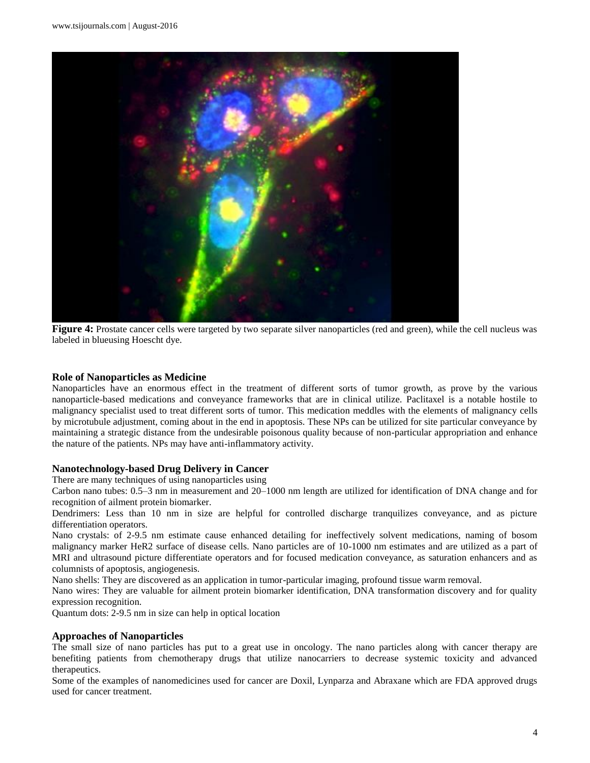

**Figure 4:** Prostate cancer cells were targeted by two separate silver nanoparticles (red and green), while the cell nucleus was labeled in blueusing Hoescht dye.

#### **Role of Nanoparticles as Medicine**

Nanoparticles have an enormous effect in the treatment of different sorts of tumor growth, as prove by the various nanoparticle-based medications and conveyance frameworks that are in clinical utilize. Paclitaxel is a notable hostile to malignancy specialist used to treat different sorts of tumor. This medication meddles with the elements of malignancy cells by microtubule adjustment, coming about in the end in apoptosis. These NPs can be utilized for site particular conveyance by maintaining a strategic distance from the undesirable poisonous quality because of non-particular appropriation and enhance the nature of the patients. NPs may have anti-inflammatory activity.

#### **Nanotechnology-based Drug Delivery in Cancer**

There are many techniques of using nanoparticles using

Carbon nano tubes: 0.5–3 nm in measurement and 20–1000 nm length are utilized for identification of DNA change and for recognition of ailment protein biomarker.

Dendrimers: Less than 10 nm in size are helpful for controlled discharge tranquilizes conveyance, and as picture differentiation operators.

Nano crystals: of 2-9.5 nm estimate cause enhanced detailing for ineffectively solvent medications, naming of bosom malignancy marker HeR2 surface of disease cells. Nano particles are of 10-1000 nm estimates and are utilized as a part of MRI and ultrasound picture differentiate operators and for focused medication conveyance, as saturation enhancers and as columnists of apoptosis, angiogenesis.

Nano shells: They are discovered as an application in tumor-particular imaging, profound tissue warm removal.

Nano wires: They are valuable for ailment protein biomarker identification, DNA transformation discovery and for quality expression recognition.

Quantum dots: 2-9.5 nm in size can help in optical location

#### **Approaches of Nanoparticles**

The small size of nano particles has put to a great use in oncology. The nano particles along with cancer therapy are benefiting patients from chemotherapy drugs that utilize nanocarriers to decrease systemic toxicity and advanced therapeutics.

Some of the examples of nanomedicines used for cancer are Doxil, Lynparza and Abraxane which are FDA approved drugs used for cancer treatment.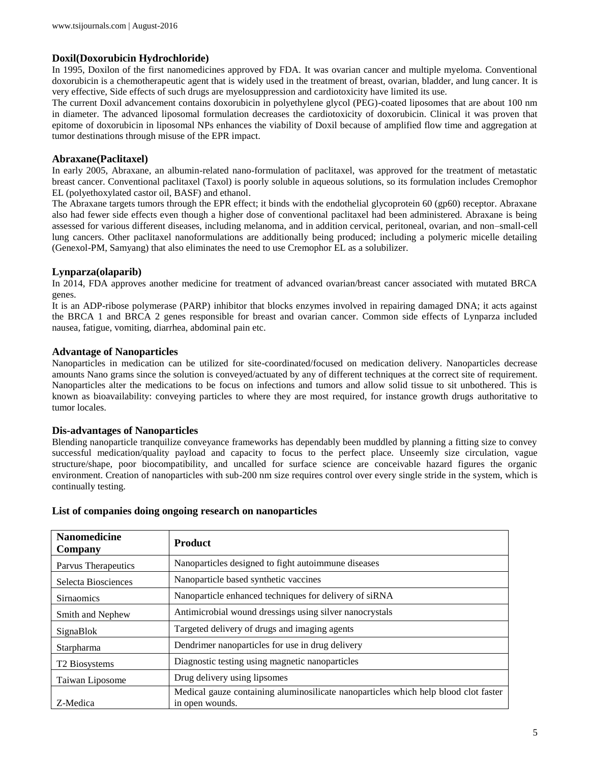## **Doxil(Doxorubicin Hydrochloride)**

In 1995, Doxilon of the first nanomedicines approved by FDA. It was ovarian cancer and multiple myeloma. Conventional doxorubicin is a chemotherapeutic agent that is widely used in the treatment of breast, ovarian, bladder, and lung cancer. It is very effective, Side effects of such drugs are myelosuppression and cardiotoxicity have limited its use.

The current Doxil advancement contains doxorubicin in polyethylene glycol (PEG)-coated liposomes that are about 100 nm in diameter. The advanced liposomal formulation decreases the cardiotoxicity of doxorubicin. Clinical it was proven that epitome of doxorubicin in liposomal NPs enhances the viability of Doxil because of amplified flow time and aggregation at tumor destinations through misuse of the EPR impact.

#### **Abraxane(Paclitaxel)**

In early 2005, Abraxane, an albumin-related nano-formulation of paclitaxel, was approved for the treatment of metastatic breast cancer. Conventional paclitaxel (Taxol) is poorly soluble in aqueous solutions, so its formulation includes Cremophor EL (polyethoxylated castor oil, BASF) and ethanol.

The Abraxane targets tumors through the EPR effect; it binds with the endothelial glycoprotein 60 (gp60) receptor. Abraxane also had fewer side effects even though a higher dose of conventional paclitaxel had been administered. Abraxane is being assessed for various different diseases, including melanoma, and in addition cervical, peritoneal, ovarian, and non–small-cell lung cancers. Other paclitaxel nanoformulations are additionally being produced; including a polymeric micelle detailing (Genexol-PM, Samyang) that also eliminates the need to use Cremophor EL as a solubilizer.

## **Lynparza(olaparib)**

In 2014, FDA approves another medicine for treatment of advanced ovarian/breast cancer associated with mutated BRCA genes.

It is an ADP-ribose polymerase (PARP) inhibitor that blocks enzymes involved in repairing damaged DNA; it acts against the BRCA 1 and BRCA 2 genes responsible for breast and ovarian cancer. Common side effects of Lynparza included nausea, fatigue, vomiting, diarrhea, abdominal pain etc.

#### **Advantage of Nanoparticles**

Nanoparticles in medication can be utilized for site-coordinated/focused on medication delivery. Nanoparticles decrease amounts Nano grams since the solution is conveyed/actuated by any of different techniques at the correct site of requirement. Nanoparticles alter the medications to be focus on infections and tumors and allow solid tissue to sit unbothered. This is known as bioavailability: conveying particles to where they are most required, for instance growth drugs authoritative to tumor locales.

#### **Dis-advantages of Nanoparticles**

Blending nanoparticle tranquilize conveyance frameworks has dependably been muddled by planning a fitting size to convey successful medication/quality payload and capacity to focus to the perfect place. Unseemly size circulation, vague structure/shape, poor biocompatibility, and uncalled for surface science are conceivable hazard figures the organic environment. Creation of nanoparticles with sub-200 nm size requires control over every single stride in the system, which is continually testing.

| <b>Nanomedicine</b><br>Company | <b>Product</b>                                                                                         |
|--------------------------------|--------------------------------------------------------------------------------------------------------|
| Parvus Therapeutics            | Nanoparticles designed to fight autoimmune diseases                                                    |
| Selecta Biosciences            | Nanoparticle based synthetic vaccines                                                                  |
| <b>Sirnaomics</b>              | Nanoparticle enhanced techniques for delivery of siRNA                                                 |
| Smith and Nephew               | Antimicrobial wound dressings using silver nanocrystals                                                |
| SignaBlok                      | Targeted delivery of drugs and imaging agents                                                          |
| <b>Starpharma</b>              | Dendrimer nanoparticles for use in drug delivery                                                       |
| T <sub>2</sub> Biosystems      | Diagnostic testing using magnetic nanoparticles                                                        |
| Taiwan Liposome                | Drug delivery using lipsomes                                                                           |
| Z-Medica                       | Medical gauze containing aluminosilicate nanoparticles which help blood clot faster<br>in open wounds. |

#### **List of companies doing ongoing research on nanoparticles**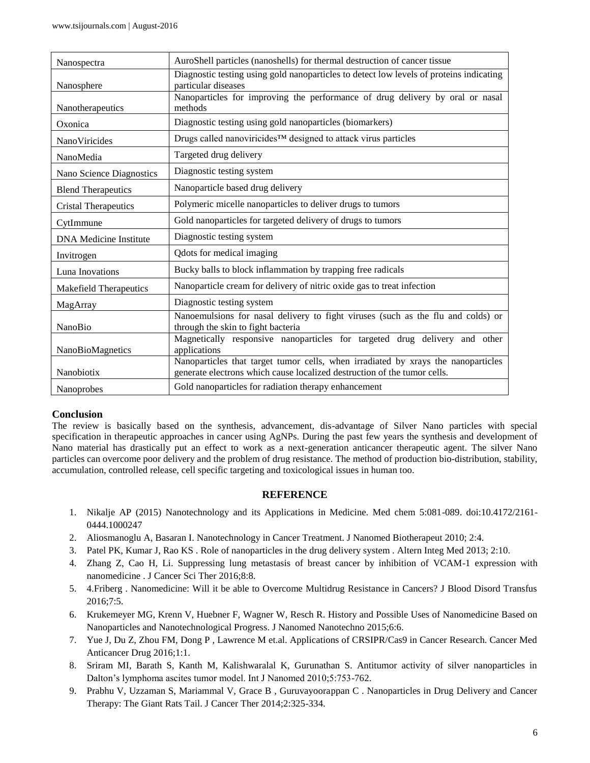| Nanospectra                   | AuroShell particles (nanoshells) for thermal destruction of cancer tissue                                                                                     |
|-------------------------------|---------------------------------------------------------------------------------------------------------------------------------------------------------------|
| Nanosphere                    | Diagnostic testing using gold nanoparticles to detect low levels of proteins indicating<br>particular diseases                                                |
| Nanotherapeutics              | Nanoparticles for improving the performance of drug delivery by oral or nasal<br>methods                                                                      |
| Oxonica                       | Diagnostic testing using gold nanoparticles (biomarkers)                                                                                                      |
| NanoViricides                 | Drugs called nanoviricides™ designed to attack virus particles                                                                                                |
| NanoMedia                     | Targeted drug delivery                                                                                                                                        |
| Nano Science Diagnostics      | Diagnostic testing system                                                                                                                                     |
| <b>Blend Therapeutics</b>     | Nanoparticle based drug delivery                                                                                                                              |
| <b>Cristal Therapeutics</b>   | Polymeric micelle nanoparticles to deliver drugs to tumors                                                                                                    |
| CytImmune                     | Gold nanoparticles for targeted delivery of drugs to tumors                                                                                                   |
| <b>DNA</b> Medicine Institute | Diagnostic testing system                                                                                                                                     |
| Invitrogen                    | Qdots for medical imaging                                                                                                                                     |
| Luna Inovations               | Bucky balls to block inflammation by trapping free radicals                                                                                                   |
| <b>Makefield Therapeutics</b> | Nanoparticle cream for delivery of nitric oxide gas to treat infection                                                                                        |
| MagArray                      | Diagnostic testing system                                                                                                                                     |
| <b>NanoBio</b>                | Nanoemulsions for nasal delivery to fight viruses (such as the flu and colds) or<br>through the skin to fight bacteria                                        |
| NanoBioMagnetics              | Magnetically responsive nanoparticles for targeted drug delivery and other<br>applications                                                                    |
| Nanobiotix                    | Nanoparticles that target tumor cells, when irradiated by xrays the nanoparticles<br>generate electrons which cause localized destruction of the tumor cells. |
| <b>Nanoprobes</b>             | Gold nanoparticles for radiation therapy enhancement                                                                                                          |

# **Conclusion**

The review is basically based on the synthesis, advancement, dis-advantage of Silver Nano particles with special specification in therapeutic approaches in cancer using AgNPs. During the past few years the synthesis and development of Nano material has drastically put an effect to work as a next-generation anticancer therapeutic agent. The silver Nano particles can overcome poor delivery and the problem of drug resistance. The method of production bio-distribution, stability, accumulation, controlled release, cell specific targeting and toxicological issues in human too.

#### **REFERENCE**

- 1. Nikalje AP (2015) Nanotechnology and its Applications in Medicine. Med chem 5:081-089. doi:10.4172/2161- 0444.1000247
- 2. Aliosmanoglu A, Basaran I. Nanotechnology in Cancer Treatment. J Nanomed Biotherapeut 2010; 2:4.
- 3. Patel PK, Kumar J, Rao KS . Role of nanoparticles in the drug delivery system . Altern Integ Med 2013; 2:10.
- 4. Zhang Z, Cao H, Li. Suppressing lung metastasis of breast cancer by inhibition of VCAM-1 expression with nanomedicine . J Cancer Sci Ther 2016;8:8.
- 5. 4.Friberg . Nanomedicine: Will it be able to Overcome Multidrug Resistance in Cancers? J Blood Disord Transfus 2016;7:5.
- 6. Krukemeyer MG, Krenn V, Huebner F, Wagner W, Resch R. History and Possible Uses of Nanomedicine Based on Nanoparticles and Nanotechnological Progress. J Nanomed Nanotechno 2015;6:6.
- 7. Yue J, Du Z, Zhou FM, Dong P , Lawrence M et.al. Applications of CRSIPR/Cas9 in Cancer Research. Cancer Med Anticancer Drug 2016;1:1.
- 8. Sriram MI, Barath S, Kanth M, Kalishwaralal K, Gurunathan S. Antitumor activity of silver nanoparticles in Dalton's lymphoma ascites tumor model. Int J Nanomed 2010;5:753-762.
- 9. Prabhu V, Uzzaman S, Mariammal V, Grace B , Guruvayoorappan C . Nanoparticles in Drug Delivery and Cancer Therapy: The Giant Rats Tail. J Cancer Ther 2014;2:325-334.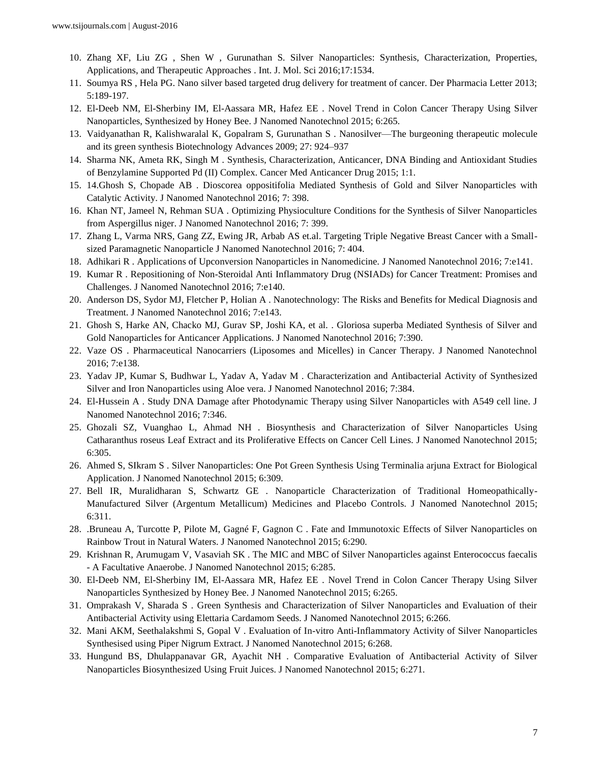- 10. Zhang XF, Liu ZG , Shen W , Gurunathan S. Silver Nanoparticles: Synthesis, Characterization, Properties, Applications, and Therapeutic Approaches . Int. J. Mol. Sci 2016;17:1534.
- 11. Soumya RS , Hela PG. Nano silver based targeted drug delivery for treatment of cancer. Der Pharmacia Letter 2013; 5:189-197.
- 12. El-Deeb NM, El-Sherbiny IM, El-Aassara MR, Hafez EE . Novel Trend in Colon Cancer Therapy Using Silver Nanoparticles, Synthesized by Honey Bee. J Nanomed Nanotechnol 2015; 6:265.
- 13. Vaidyanathan R, Kalishwaralal K, Gopalram S, Gurunathan S . Nanosilver—The burgeoning therapeutic molecule and its green synthesis Biotechnology Advances 2009; 27: 924–937
- 14. Sharma NK, Ameta RK, Singh M . Synthesis, Characterization, Anticancer, DNA Binding and Antioxidant Studies of Benzylamine Supported Pd (II) Complex. Cancer Med Anticancer Drug 2015; 1:1.
- 15. 14.Ghosh S, Chopade AB . Dioscorea oppositifolia Mediated Synthesis of Gold and Silver Nanoparticles with Catalytic Activity. J Nanomed Nanotechnol 2016; 7: 398.
- 16. Khan NT, Jameel N, Rehman SUA . Optimizing Physioculture Conditions for the Synthesis of Silver Nanoparticles from Aspergillus niger. J Nanomed Nanotechnol 2016; 7: 399.
- 17. Zhang L, Varma NRS, Gang ZZ, Ewing JR, Arbab AS et.al. Targeting Triple Negative Breast Cancer with a Smallsized Paramagnetic Nanoparticle J Nanomed Nanotechnol 2016; 7: 404.
- 18. Adhikari R . Applications of Upconversion Nanoparticles in Nanomedicine. J Nanomed Nanotechnol 2016; 7:e141.
- 19. Kumar R . Repositioning of Non-Steroidal Anti Inflammatory Drug (NSIADs) for Cancer Treatment: Promises and Challenges. J Nanomed Nanotechnol 2016; 7:e140.
- 20. Anderson DS, Sydor MJ, Fletcher P, Holian A . Nanotechnology: The Risks and Benefits for Medical Diagnosis and Treatment. J Nanomed Nanotechnol 2016; 7:e143.
- 21. Ghosh S, Harke AN, Chacko MJ, Gurav SP, Joshi KA, et al. . Gloriosa superba Mediated Synthesis of Silver and Gold Nanoparticles for Anticancer Applications. J Nanomed Nanotechnol 2016; 7:390.
- 22. Vaze OS . Pharmaceutical Nanocarriers (Liposomes and Micelles) in Cancer Therapy. J Nanomed Nanotechnol 2016; 7:e138.
- 23. Yadav JP, Kumar S, Budhwar L, Yadav A, Yadav M . Characterization and Antibacterial Activity of Synthesized Silver and Iron Nanoparticles using Aloe vera. J Nanomed Nanotechnol 2016; 7:384.
- 24. El-Hussein A . Study DNA Damage after Photodynamic Therapy using Silver Nanoparticles with A549 cell line. J Nanomed Nanotechnol 2016; 7:346.
- 25. Ghozali SZ, Vuanghao L, Ahmad NH . Biosynthesis and Characterization of Silver Nanoparticles Using Catharanthus roseus Leaf Extract and its Proliferative Effects on Cancer Cell Lines. J Nanomed Nanotechnol 2015; 6:305.
- 26. Ahmed S, SIkram S . Silver Nanoparticles: One Pot Green Synthesis Using Terminalia arjuna Extract for Biological Application. J Nanomed Nanotechnol 2015; 6:309.
- 27. Bell IR, Muralidharan S, Schwartz GE . Nanoparticle Characterization of Traditional Homeopathically-Manufactured Silver (Argentum Metallicum) Medicines and Placebo Controls. J Nanomed Nanotechnol 2015; 6:311.
- 28. .Bruneau A, Turcotte P, Pilote M, Gagné F, Gagnon C . Fate and Immunotoxic Effects of Silver Nanoparticles on Rainbow Trout in Natural Waters. J Nanomed Nanotechnol 2015; 6:290.
- 29. Krishnan R, Arumugam V, Vasaviah SK . The MIC and MBC of Silver Nanoparticles against Enterococcus faecalis - A Facultative Anaerobe. J Nanomed Nanotechnol 2015; 6:285.
- 30. El-Deeb NM, El-Sherbiny IM, El-Aassara MR, Hafez EE . Novel Trend in Colon Cancer Therapy Using Silver Nanoparticles Synthesized by Honey Bee. J Nanomed Nanotechnol 2015; 6:265.
- 31. Omprakash V, Sharada S . Green Synthesis and Characterization of Silver Nanoparticles and Evaluation of their Antibacterial Activity using Elettaria Cardamom Seeds. J Nanomed Nanotechnol 2015; 6:266.
- 32. Mani AKM, Seethalakshmi S, Gopal V . Evaluation of In-vitro Anti-Inflammatory Activity of Silver Nanoparticles Synthesised using Piper Nigrum Extract. J Nanomed Nanotechnol 2015; 6:268.
- 33. Hungund BS, Dhulappanavar GR, Ayachit NH . Comparative Evaluation of Antibacterial Activity of Silver Nanoparticles Biosynthesized Using Fruit Juices. J Nanomed Nanotechnol 2015; 6:271.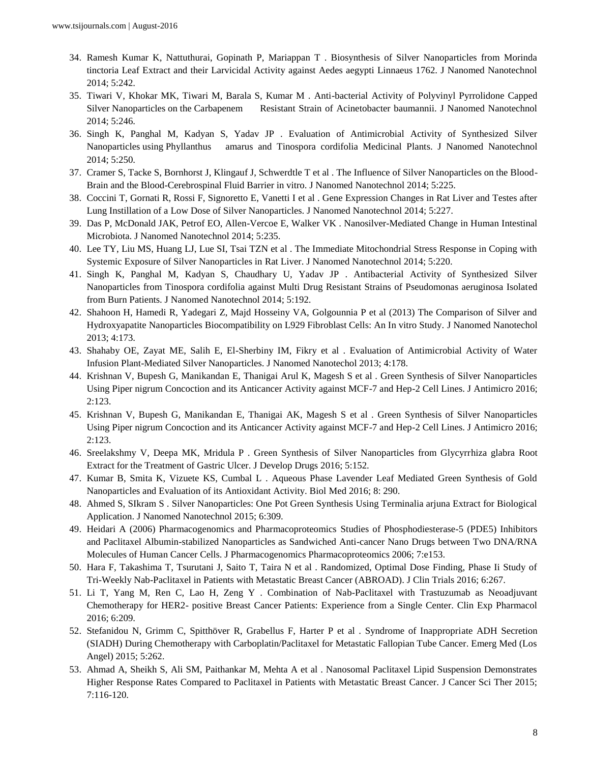- 34. Ramesh Kumar K, Nattuthurai, Gopinath P, Mariappan T . Biosynthesis of Silver Nanoparticles from Morinda tinctoria Leaf Extract and their Larvicidal Activity against Aedes aegypti Linnaeus 1762. J Nanomed Nanotechnol 2014; 5:242.
- 35. Tiwari V, Khokar MK, Tiwari M, Barala S, Kumar M . Anti-bacterial Activity of Polyvinyl Pyrrolidone Capped Silver Nanoparticles on the Carbapenem Resistant Strain of Acinetobacter baumannii. J Nanomed Nanotechnol 2014; 5:246.
- 36. Singh K, Panghal M, Kadyan S, Yadav JP . Evaluation of Antimicrobial Activity of Synthesized Silver Nanoparticles using Phyllanthus amarus and Tinospora cordifolia Medicinal Plants. J Nanomed Nanotechnol 2014; 5:250.
- 37. Cramer S, Tacke S, Bornhorst J, Klingauf J, Schwerdtle T et al . The Influence of Silver Nanoparticles on the Blood-Brain and the Blood-Cerebrospinal Fluid Barrier in vitro. J Nanomed Nanotechnol 2014; 5:225.
- 38. Coccini T, Gornati R, Rossi F, Signoretto E, Vanetti I et al . Gene Expression Changes in Rat Liver and Testes after Lung Instillation of a Low Dose of Silver Nanoparticles. J Nanomed Nanotechnol 2014; 5:227.
- 39. Das P, McDonald JAK, Petrof EO, Allen-Vercoe E, Walker VK . Nanosilver-Mediated Change in Human Intestinal Microbiota. J Nanomed Nanotechnol 2014; 5:235.
- 40. Lee TY, Liu MS, Huang LJ, Lue SI, Tsai TZN et al . The Immediate Mitochondrial Stress Response in Coping with Systemic Exposure of Silver Nanoparticles in Rat Liver. J Nanomed Nanotechnol 2014; 5:220.
- 41. Singh K, Panghal M, Kadyan S, Chaudhary U, Yadav JP . Antibacterial Activity of Synthesized Silver Nanoparticles from Tinospora cordifolia against Multi Drug Resistant Strains of Pseudomonas aeruginosa Isolated from Burn Patients. J Nanomed Nanotechnol 2014; 5:192.
- 42. Shahoon H, Hamedi R, Yadegari Z, Majd Hosseiny VA, Golgounnia P et al (2013) The Comparison of Silver and Hydroxyapatite Nanoparticles Biocompatibility on L929 Fibroblast Cells: An In vitro Study. J Nanomed Nanotechol 2013; 4:173.
- 43. Shahaby OE, Zayat ME, Salih E, El-Sherbiny IM, Fikry et al . Evaluation of Antimicrobial Activity of Water Infusion Plant-Mediated Silver Nanoparticles. J Nanomed Nanotechol 2013; 4:178.
- 44. Krishnan V, Bupesh G, Manikandan E, Thanigai Arul K, Magesh S et al . Green Synthesis of Silver Nanoparticles Using Piper nigrum Concoction and its Anticancer Activity against MCF-7 and Hep-2 Cell Lines. J Antimicro 2016; 2:123.
- 45. Krishnan V, Bupesh G, Manikandan E, Thanigai AK, Magesh S et al . Green Synthesis of Silver Nanoparticles Using Piper nigrum Concoction and its Anticancer Activity against MCF-7 and Hep-2 Cell Lines. J Antimicro 2016; 2:123.
- 46. Sreelakshmy V, Deepa MK, Mridula P . Green Synthesis of Silver Nanoparticles from Glycyrrhiza glabra Root Extract for the Treatment of Gastric Ulcer. J Develop Drugs 2016; 5:152.
- 47. Kumar B, Smita K, Vizuete KS, Cumbal L . Aqueous Phase Lavender Leaf Mediated Green Synthesis of Gold Nanoparticles and Evaluation of its Antioxidant Activity. Biol Med 2016; 8: 290.
- 48. Ahmed S, SIkram S . Silver Nanoparticles: One Pot Green Synthesis Using Terminalia arjuna Extract for Biological Application. J Nanomed Nanotechnol 2015; 6:309.
- 49. Heidari A (2006) Pharmacogenomics and Pharmacoproteomics Studies of Phosphodiesterase-5 (PDE5) Inhibitors and Paclitaxel Albumin-stabilized Nanoparticles as Sandwiched Anti-cancer Nano Drugs between Two DNA/RNA Molecules of Human Cancer Cells. J Pharmacogenomics Pharmacoproteomics 2006; 7:e153.
- 50. Hara F, Takashima T, Tsurutani J, Saito T, Taira N et al . Randomized, Optimal Dose Finding, Phase Ii Study of Tri-Weekly Nab-Paclitaxel in Patients with Metastatic Breast Cancer (ABROAD). J Clin Trials 2016; 6:267.
- 51. Li T, Yang M, Ren C, Lao H, Zeng Y . Combination of Nab-Paclitaxel with Trastuzumab as Neoadjuvant Chemotherapy for HER2- positive Breast Cancer Patients: Experience from a Single Center. Clin Exp Pharmacol 2016; 6:209.
- 52. Stefanidou N, Grimm C, Spitthöver R, Grabellus F, Harter P et al . Syndrome of Inappropriate ADH Secretion (SIADH) During Chemotherapy with Carboplatin/Paclitaxel for Metastatic Fallopian Tube Cancer. Emerg Med (Los Angel) 2015; 5:262.
- 53. Ahmad A, Sheikh S, Ali SM, Paithankar M, Mehta A et al . Nanosomal Paclitaxel Lipid Suspension Demonstrates Higher Response Rates Compared to Paclitaxel in Patients with Metastatic Breast Cancer. J Cancer Sci Ther 2015; 7:116-120.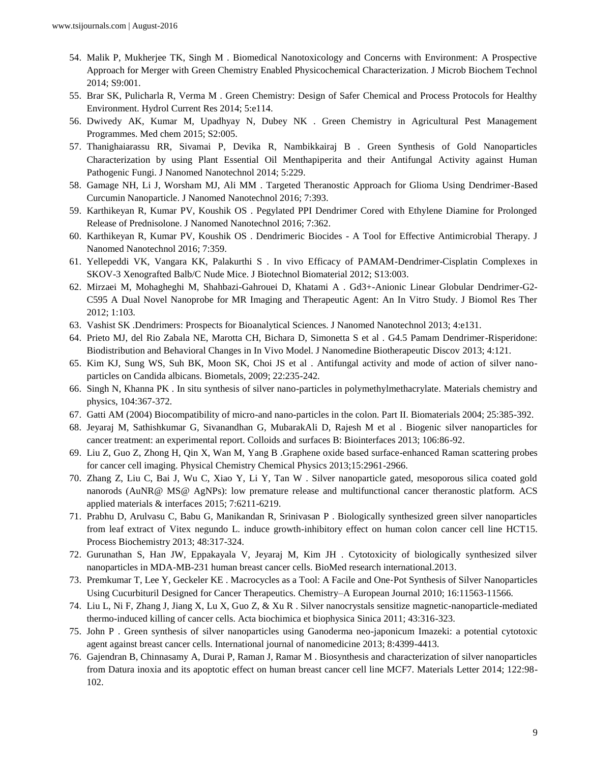- 54. Malik P, Mukherjee TK, Singh M . Biomedical Nanotoxicology and Concerns with Environment: A Prospective Approach for Merger with Green Chemistry Enabled Physicochemical Characterization. J Microb Biochem Technol 2014; S9:001.
- 55. Brar SK, Pulicharla R, Verma M . Green Chemistry: Design of Safer Chemical and Process Protocols for Healthy Environment. Hydrol Current Res 2014; 5:e114.
- 56. Dwivedy AK, Kumar M, Upadhyay N, Dubey NK . Green Chemistry in Agricultural Pest Management Programmes. Med chem 2015; S2:005.
- 57. Thanighaiarassu RR, Sivamai P, Devika R, Nambikkairaj B . Green Synthesis of Gold Nanoparticles Characterization by using Plant Essential Oil Menthapiperita and their Antifungal Activity against Human Pathogenic Fungi. J Nanomed Nanotechnol 2014; 5:229.
- 58. Gamage NH, Li J, Worsham MJ, Ali MM . Targeted Theranostic Approach for Glioma Using Dendrimer-Based Curcumin Nanoparticle. J Nanomed Nanotechnol 2016; 7:393.
- 59. Karthikeyan R, Kumar PV, Koushik OS . Pegylated PPI Dendrimer Cored with Ethylene Diamine for Prolonged Release of Prednisolone. J Nanomed Nanotechnol 2016; 7:362.
- 60. Karthikeyan R, Kumar PV, Koushik OS . Dendrimeric Biocides A Tool for Effective Antimicrobial Therapy. J Nanomed Nanotechnol 2016; 7:359.
- 61. Yellepeddi VK, Vangara KK, Palakurthi S . In vivo Efficacy of PAMAM-Dendrimer-Cisplatin Complexes in SKOV-3 Xenografted Balb/C Nude Mice. J Biotechnol Biomaterial 2012; S13:003.
- 62. Mirzaei M, Mohagheghi M, Shahbazi-Gahrouei D, Khatami A . Gd3+-Anionic Linear Globular Dendrimer-G2- C595 A Dual Novel Nanoprobe for MR Imaging and Therapeutic Agent: An In Vitro Study. J Biomol Res Ther 2012; 1:103.
- 63. Vashist SK .Dendrimers: Prospects for Bioanalytical Sciences. J Nanomed Nanotechnol 2013; 4:e131.
- 64. Prieto MJ, del Rio Zabala NE, Marotta CH, Bichara D, Simonetta S et al . G4.5 Pamam Dendrimer-Risperidone: Biodistribution and Behavioral Changes in In Vivo Model. J Nanomedine Biotherapeutic Discov 2013; 4:121.
- 65. Kim KJ, Sung WS, Suh BK, Moon SK, Choi JS et al . Antifungal activity and mode of action of silver nanoparticles on Candida albicans. Biometals, 2009; 22:235-242.
- 66. Singh N, Khanna PK . In situ synthesis of silver nano-particles in polymethylmethacrylate. Materials chemistry and physics, 104:367-372.
- 67. Gatti AM (2004) Biocompatibility of micro-and nano-particles in the colon. Part II. Biomaterials 2004; 25:385-392.
- 68. Jeyaraj M, Sathishkumar G, Sivanandhan G, MubarakAli D, Rajesh M et al . Biogenic silver nanoparticles for cancer treatment: an experimental report. Colloids and surfaces B: Biointerfaces 2013; 106:86-92.
- 69. Liu Z, Guo Z, Zhong H, Qin X, Wan M, Yang B .Graphene oxide based surface-enhanced Raman scattering probes for cancer cell imaging. Physical Chemistry Chemical Physics 2013;15:2961-2966.
- 70. Zhang Z, Liu C, Bai J, Wu C, Xiao Y, Li Y, Tan W . Silver nanoparticle gated, mesoporous silica coated gold nanorods (AuNR@ MS@ AgNPs): low premature release and multifunctional cancer theranostic platform. ACS applied materials & interfaces 2015; 7:6211-6219.
- 71. Prabhu D, Arulvasu C, Babu G, Manikandan R, Srinivasan P . Biologically synthesized green silver nanoparticles from leaf extract of Vitex negundo L. induce growth-inhibitory effect on human colon cancer cell line HCT15. Process Biochemistry 2013; 48:317-324.
- 72. Gurunathan S, Han JW, Eppakayala V, Jeyaraj M, Kim JH . Cytotoxicity of biologically synthesized silver nanoparticles in MDA-MB-231 human breast cancer cells. BioMed research international.2013.
- 73. Premkumar T, Lee Y, Geckeler KE . Macrocycles as a Tool: A Facile and One‐Pot Synthesis of Silver Nanoparticles Using Cucurbituril Designed for Cancer Therapeutics. Chemistry–A European Journal 2010; 16:11563-11566.
- 74. Liu L, Ni F, Zhang J, Jiang X, Lu X, Guo Z, & Xu R . Silver nanocrystals sensitize magnetic-nanoparticle-mediated thermo-induced killing of cancer cells. Acta biochimica et biophysica Sinica 2011; 43:316-323.
- 75. John P . Green synthesis of silver nanoparticles using Ganoderma neo-japonicum Imazeki: a potential cytotoxic agent against breast cancer cells. International journal of nanomedicine 2013; 8:4399-4413.
- 76. Gajendran B, Chinnasamy A, Durai P, Raman J, Ramar M . Biosynthesis and characterization of silver nanoparticles from Datura inoxia and its apoptotic effect on human breast cancer cell line MCF7. Materials Letter 2014; 122:98- 102.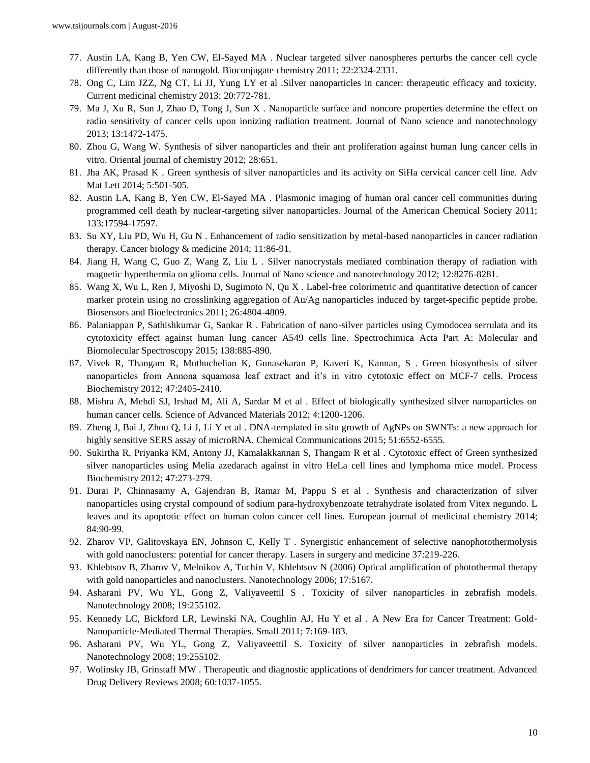- 77. Austin LA, Kang B, Yen CW, El-Sayed MA . Nuclear targeted silver nanospheres perturbs the cancer cell cycle differently than those of nanogold. Bioconjugate chemistry 2011; 22:2324-2331.
- 78. Ong C, Lim JZZ, Ng CT, Li JJ, Yung LY et al .Silver nanoparticles in cancer: therapeutic efficacy and toxicity. Current medicinal chemistry 2013; 20:772-781.
- 79. Ma J, Xu R, Sun J, Zhao D, Tong J, Sun X . Nanoparticle surface and noncore properties determine the effect on radio sensitivity of cancer cells upon ionizing radiation treatment. Journal of Nano science and nanotechnology 2013; 13:1472-1475.
- 80. Zhou G, Wang W. Synthesis of silver nanoparticles and their ant proliferation against human lung cancer cells in vitro. Oriental journal of chemistry 2012; 28:651.
- 81. Jha AK, Prasad K . Green synthesis of silver nanoparticles and its activity on SiHa cervical cancer cell line. Adv Mat Lett 2014; 5:501-505.
- 82. Austin LA, Kang B, Yen CW, El-Sayed MA . Plasmonic imaging of human oral cancer cell communities during programmed cell death by nuclear-targeting silver nanoparticles. Journal of the American Chemical Society 2011; 133:17594-17597.
- 83. Su XY, Liu PD, Wu H, Gu N . Enhancement of radio sensitization by metal-based nanoparticles in cancer radiation therapy. Cancer biology & medicine 2014; 11:86-91.
- 84. Jiang H, Wang C, Guo Z, Wang Z, Liu L . Silver nanocrystals mediated combination therapy of radiation with magnetic hyperthermia on glioma cells. Journal of Nano science and nanotechnology 2012; 12:8276-8281.
- 85. Wang X, Wu L, Ren J, Miyoshi D, Sugimoto N, Qu X . Label-free colorimetric and quantitative detection of cancer marker protein using no crosslinking aggregation of Au/Ag nanoparticles induced by target-specific peptide probe. Biosensors and Bioelectronics 2011; 26:4804-4809.
- 86. Palaniappan P, Sathishkumar G, Sankar R . Fabrication of nano-silver particles using Cymodocea serrulata and its cytotoxicity effect against human lung cancer A549 cells line. Spectrochimica Acta Part A: Molecular and Biomolecular Spectroscopy 2015; 138:885-890.
- 87. Vivek R, Thangam R, Muthuchelian K, Gunasekaran P, Kaveri K, Kannan, S . Green biosynthesis of silver nanoparticles from Annona squamosa leaf extract and it's in vitro cytotoxic effect on MCF-7 cells. Process Biochemistry 2012; 47:2405-2410.
- 88. Mishra A, Mehdi SJ, Irshad M, Ali A, Sardar M et al . Effect of biologically synthesized silver nanoparticles on human cancer cells. Science of Advanced Materials 2012; 4:1200-1206.
- 89. Zheng J, Bai J, Zhou Q, Li J, Li Y et al . DNA-templated in situ growth of AgNPs on SWNTs: a new approach for highly sensitive SERS assay of microRNA. Chemical Communications 2015; 51:6552-6555.
- 90. Sukirtha R, Priyanka KM, Antony JJ, Kamalakkannan S, Thangam R et al . Cytotoxic effect of Green synthesized silver nanoparticles using Melia azedarach against in vitro HeLa cell lines and lymphoma mice model. Process Biochemistry 2012; 47:273-279.
- 91. Durai P, Chinnasamy A, Gajendran B, Ramar M, Pappu S et al . Synthesis and characterization of silver nanoparticles using crystal compound of sodium para-hydroxybenzoate tetrahydrate isolated from Vitex negundo. L leaves and its apoptotic effect on human colon cancer cell lines. European journal of medicinal chemistry 2014; 84:90-99.
- 92. Zharov VP, Galitovskaya EN, Johnson C, Kelly T . Synergistic enhancement of selective nanophotothermolysis with gold nanoclusters: potential for cancer therapy. Lasers in surgery and medicine 37:219-226.
- 93. Khlebtsov B, Zharov V, Melnikov A, Tuchin V, Khlebtsov N (2006) Optical amplification of photothermal therapy with gold nanoparticles and nanoclusters. Nanotechnology 2006; 17:5167.
- 94. Asharani PV, Wu YL, Gong Z, Valiyaveettil S . Toxicity of silver nanoparticles in zebrafish models. Nanotechnology 2008; 19:255102.
- 95. Kennedy LC, Bickford LR, Lewinski NA, Coughlin AJ, Hu Y et al . A New Era for Cancer Treatment: Gold‐ Nanoparticle‐Mediated Thermal Therapies. Small 2011; 7:169-183.
- 96. Asharani PV, Wu YL, Gong Z, Valiyaveettil S. Toxicity of silver nanoparticles in zebrafish models. Nanotechnology 2008; 19:255102.
- 97. Wolinsky JB, Grinstaff MW . Therapeutic and diagnostic applications of dendrimers for cancer treatment. Advanced Drug Delivery Reviews 2008; 60:1037-1055.